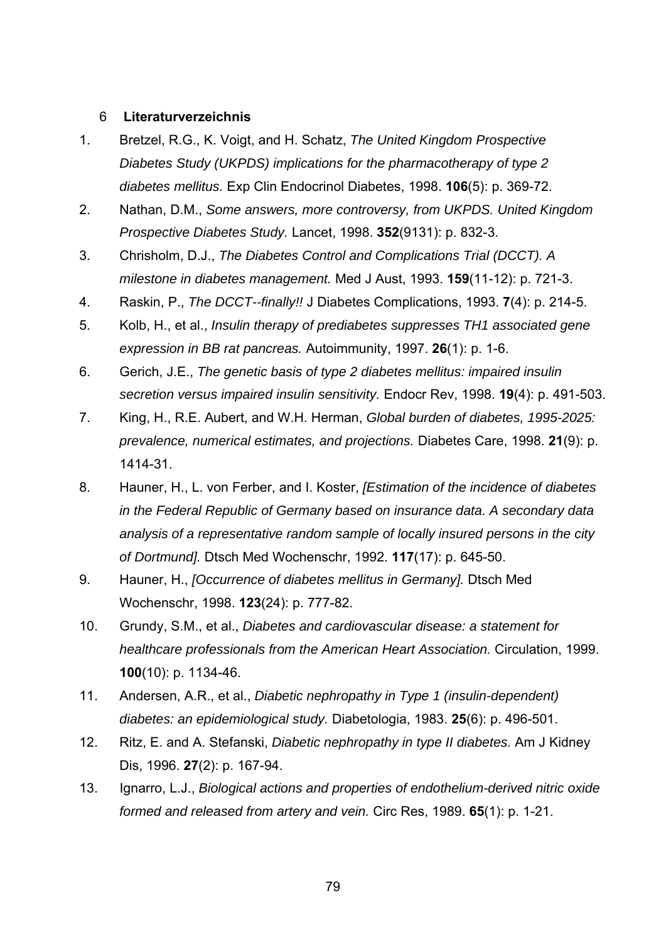## 6 **Literaturverzeichnis**

- 1. Bretzel, R.G., K. Voigt, and H. Schatz, *The United Kingdom Prospective Diabetes Study (UKPDS) implications for the pharmacotherapy of type 2 diabetes mellitus.* Exp Clin Endocrinol Diabetes, 1998. **106**(5): p. 369-72.
- 2. Nathan, D.M., *Some answers, more controversy, from UKPDS. United Kingdom Prospective Diabetes Study.* Lancet, 1998. **352**(9131): p. 832-3.
- 3. Chrisholm, D.J., *The Diabetes Control and Complications Trial (DCCT). A milestone in diabetes management.* Med J Aust, 1993. **159**(11-12): p. 721-3.
- 4. Raskin, P., *The DCCT--finally!!* J Diabetes Complications, 1993. **7**(4): p. 214-5.
- 5. Kolb, H., et al., *Insulin therapy of prediabetes suppresses TH1 associated gene expression in BB rat pancreas.* Autoimmunity, 1997. **26**(1): p. 1-6.
- 6. Gerich, J.E., *The genetic basis of type 2 diabetes mellitus: impaired insulin secretion versus impaired insulin sensitivity.* Endocr Rev, 1998. **19**(4): p. 491-503.
- 7. King, H., R.E. Aubert, and W.H. Herman, *Global burden of diabetes, 1995-2025: prevalence, numerical estimates, and projections.* Diabetes Care, 1998. **21**(9): p. 1414-31.
- 8. Hauner, H., L. von Ferber, and I. Koster, *[Estimation of the incidence of diabetes in the Federal Republic of Germany based on insurance data. A secondary data analysis of a representative random sample of locally insured persons in the city of Dortmund].* Dtsch Med Wochenschr, 1992. **117**(17): p. 645-50.
- 9. Hauner, H., *[Occurrence of diabetes mellitus in Germany].* Dtsch Med Wochenschr, 1998. **123**(24): p. 777-82.
- 10. Grundy, S.M., et al., *Diabetes and cardiovascular disease: a statement for healthcare professionals from the American Heart Association.* Circulation, 1999. **100**(10): p. 1134-46.
- 11. Andersen, A.R., et al., *Diabetic nephropathy in Type 1 (insulin-dependent) diabetes: an epidemiological study.* Diabetologia, 1983. **25**(6): p. 496-501.
- 12. Ritz, E. and A. Stefanski, *Diabetic nephropathy in type II diabetes.* Am J Kidney Dis, 1996. **27**(2): p. 167-94.
- 13. Ignarro, L.J., *Biological actions and properties of endothelium-derived nitric oxide formed and released from artery and vein.* Circ Res, 1989. **65**(1): p. 1-21.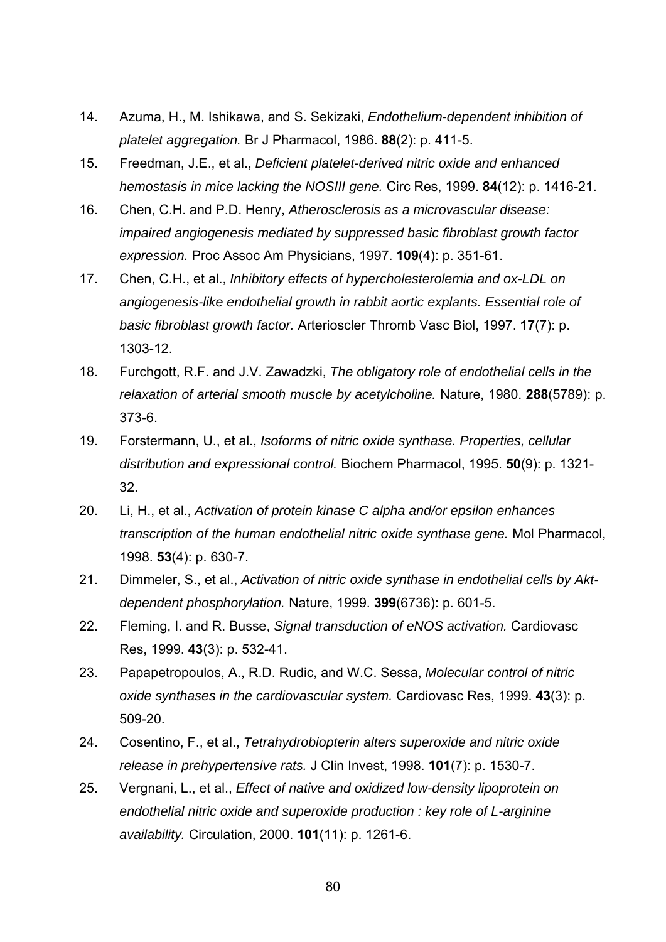- 14. Azuma, H., M. Ishikawa, and S. Sekizaki, *Endothelium-dependent inhibition of platelet aggregation.* Br J Pharmacol, 1986. **88**(2): p. 411-5.
- 15. Freedman, J.E., et al., *Deficient platelet-derived nitric oxide and enhanced hemostasis in mice lacking the NOSIII gene.* Circ Res, 1999. **84**(12): p. 1416-21.
- 16. Chen, C.H. and P.D. Henry, *Atherosclerosis as a microvascular disease: impaired angiogenesis mediated by suppressed basic fibroblast growth factor expression.* Proc Assoc Am Physicians, 1997. **109**(4): p. 351-61.
- 17. Chen, C.H., et al., *Inhibitory effects of hypercholesterolemia and ox-LDL on angiogenesis-like endothelial growth in rabbit aortic explants. Essential role of basic fibroblast growth factor.* Arterioscler Thromb Vasc Biol, 1997. **17**(7): p. 1303-12.
- 18. Furchgott, R.F. and J.V. Zawadzki, *The obligatory role of endothelial cells in the relaxation of arterial smooth muscle by acetylcholine.* Nature, 1980. **288**(5789): p. 373-6.
- 19. Forstermann, U., et al., *Isoforms of nitric oxide synthase. Properties, cellular distribution and expressional control.* Biochem Pharmacol, 1995. **50**(9): p. 1321- 32.
- 20. Li, H., et al., *Activation of protein kinase C alpha and/or epsilon enhances transcription of the human endothelial nitric oxide synthase gene.* Mol Pharmacol, 1998. **53**(4): p. 630-7.
- 21. Dimmeler, S., et al., *Activation of nitric oxide synthase in endothelial cells by Aktdependent phosphorylation.* Nature, 1999. **399**(6736): p. 601-5.
- 22. Fleming, I. and R. Busse, *Signal transduction of eNOS activation.* Cardiovasc Res, 1999. **43**(3): p. 532-41.
- 23. Papapetropoulos, A., R.D. Rudic, and W.C. Sessa, *Molecular control of nitric oxide synthases in the cardiovascular system.* Cardiovasc Res, 1999. **43**(3): p. 509-20.
- 24. Cosentino, F., et al., *Tetrahydrobiopterin alters superoxide and nitric oxide release in prehypertensive rats.* J Clin Invest, 1998. **101**(7): p. 1530-7.
- 25. Vergnani, L., et al., *Effect of native and oxidized low-density lipoprotein on endothelial nitric oxide and superoxide production : key role of L-arginine availability.* Circulation, 2000. **101**(11): p. 1261-6.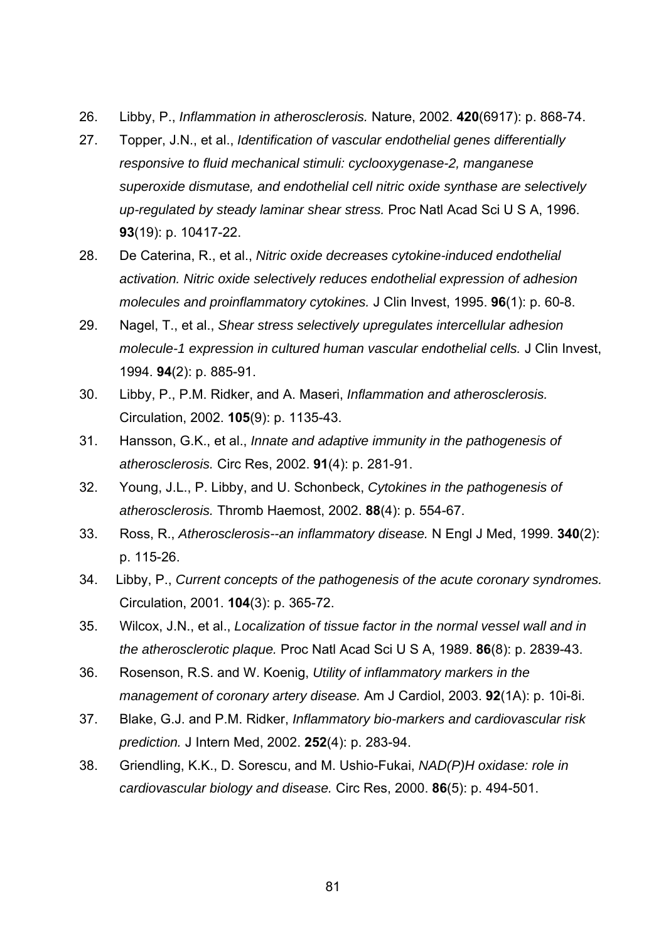- 26. Libby, P., *Inflammation in atherosclerosis.* Nature, 2002. **420**(6917): p. 868-74.
- 27. Topper, J.N., et al., *Identification of vascular endothelial genes differentially responsive to fluid mechanical stimuli: cyclooxygenase-2, manganese superoxide dismutase, and endothelial cell nitric oxide synthase are selectively up-regulated by steady laminar shear stress.* Proc Natl Acad Sci U S A, 1996. **93**(19): p. 10417-22.
- 28. De Caterina, R., et al., *Nitric oxide decreases cytokine-induced endothelial activation. Nitric oxide selectively reduces endothelial expression of adhesion molecules and proinflammatory cytokines.* J Clin Invest, 1995. **96**(1): p. 60-8.
- 29. Nagel, T., et al., *Shear stress selectively upregulates intercellular adhesion molecule-1 expression in cultured human vascular endothelial cells.* J Clin Invest, 1994. **94**(2): p. 885-91.
- 30. Libby, P., P.M. Ridker, and A. Maseri, *Inflammation and atherosclerosis.* Circulation, 2002. **105**(9): p. 1135-43.
- 31. Hansson, G.K., et al., *Innate and adaptive immunity in the pathogenesis of atherosclerosis.* Circ Res, 2002. **91**(4): p. 281-91.
- 32. Young, J.L., P. Libby, and U. Schonbeck, *Cytokines in the pathogenesis of atherosclerosis.* Thromb Haemost, 2002. **88**(4): p. 554-67.
- 33. Ross, R., *Atherosclerosis--an inflammatory disease.* N Engl J Med, 1999. **340**(2): p. 115-26.
- 34. Libby, P., *Current concepts of the pathogenesis of the acute coronary syndromes.* Circulation, 2001. **104**(3): p. 365-72.
- 35. Wilcox, J.N., et al., *Localization of tissue factor in the normal vessel wall and in the atherosclerotic plaque.* Proc Natl Acad Sci U S A, 1989. **86**(8): p. 2839-43.
- 36. Rosenson, R.S. and W. Koenig, *Utility of inflammatory markers in the management of coronary artery disease.* Am J Cardiol, 2003. **92**(1A): p. 10i-8i.
- 37. Blake, G.J. and P.M. Ridker, *Inflammatory bio-markers and cardiovascular risk prediction.* J Intern Med, 2002. **252**(4): p. 283-94.
- 38. Griendling, K.K., D. Sorescu, and M. Ushio-Fukai, *NAD(P)H oxidase: role in cardiovascular biology and disease.* Circ Res, 2000. **86**(5): p. 494-501.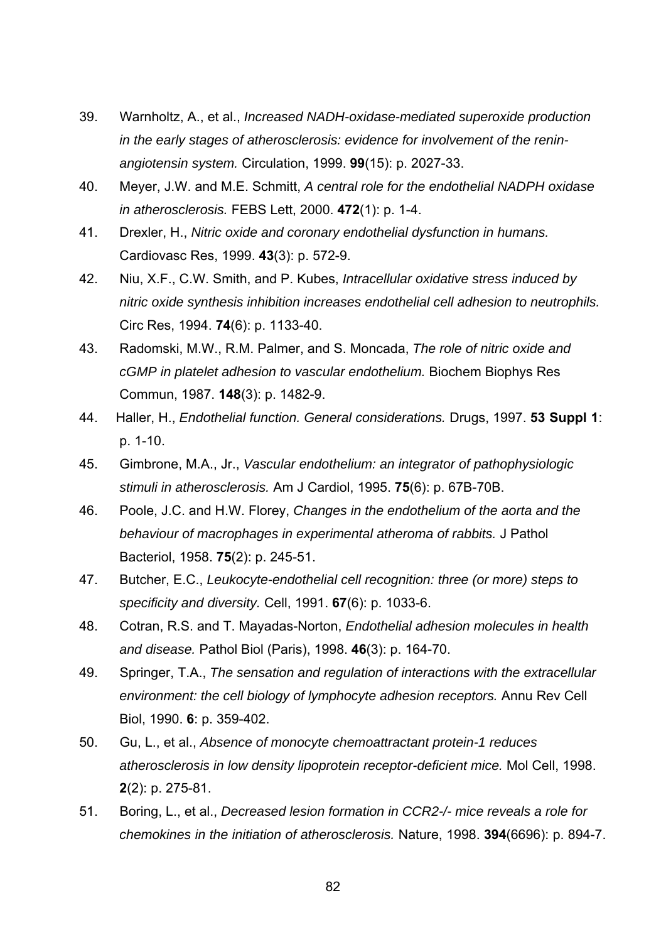- 39. Warnholtz, A., et al., *Increased NADH-oxidase-mediated superoxide production in the early stages of atherosclerosis: evidence for involvement of the reninangiotensin system.* Circulation, 1999. **99**(15): p. 2027-33.
- 40. Meyer, J.W. and M.E. Schmitt, *A central role for the endothelial NADPH oxidase in atherosclerosis.* FEBS Lett, 2000. **472**(1): p. 1-4.
- 41. Drexler, H., *Nitric oxide and coronary endothelial dysfunction in humans.* Cardiovasc Res, 1999. **43**(3): p. 572-9.
- 42. Niu, X.F., C.W. Smith, and P. Kubes, *Intracellular oxidative stress induced by nitric oxide synthesis inhibition increases endothelial cell adhesion to neutrophils.* Circ Res, 1994. **74**(6): p. 1133-40.
- 43. Radomski, M.W., R.M. Palmer, and S. Moncada, *The role of nitric oxide and cGMP in platelet adhesion to vascular endothelium.* Biochem Biophys Res Commun, 1987. **148**(3): p. 1482-9.
- 44. Haller, H., *Endothelial function. General considerations.* Drugs, 1997. **53 Suppl 1**: p. 1-10.
- 45. Gimbrone, M.A., Jr., *Vascular endothelium: an integrator of pathophysiologic stimuli in atherosclerosis.* Am J Cardiol, 1995. **75**(6): p. 67B-70B.
- 46. Poole, J.C. and H.W. Florey, *Changes in the endothelium of the aorta and the behaviour of macrophages in experimental atheroma of rabbits.* J Pathol Bacteriol, 1958. **75**(2): p. 245-51.
- 47. Butcher, E.C., *Leukocyte-endothelial cell recognition: three (or more) steps to specificity and diversity.* Cell, 1991. **67**(6): p. 1033-6.
- 48. Cotran, R.S. and T. Mayadas-Norton, *Endothelial adhesion molecules in health and disease.* Pathol Biol (Paris), 1998. **46**(3): p. 164-70.
- 49. Springer, T.A., *The sensation and regulation of interactions with the extracellular environment: the cell biology of lymphocyte adhesion receptors.* Annu Rev Cell Biol, 1990. **6**: p. 359-402.
- 50. Gu, L., et al., *Absence of monocyte chemoattractant protein-1 reduces atherosclerosis in low density lipoprotein receptor-deficient mice.* Mol Cell, 1998. **2**(2): p. 275-81.
- 51. Boring, L., et al., *Decreased lesion formation in CCR2-/- mice reveals a role for chemokines in the initiation of atherosclerosis.* Nature, 1998. **394**(6696): p. 894-7.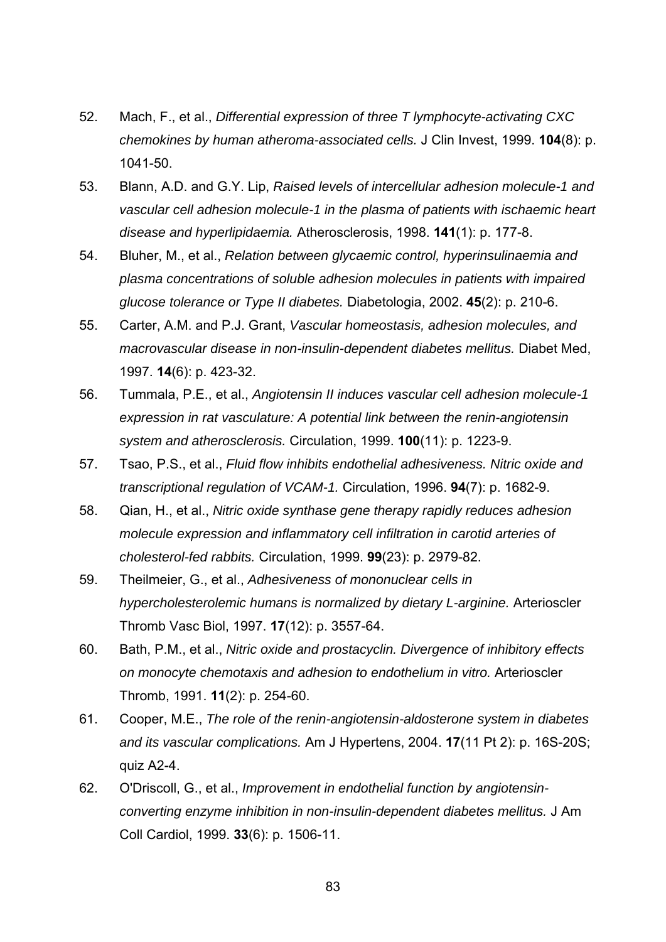- 52. Mach, F., et al., *Differential expression of three T lymphocyte-activating CXC chemokines by human atheroma-associated cells.* J Clin Invest, 1999. **104**(8): p. 1041-50.
- 53. Blann, A.D. and G.Y. Lip, *Raised levels of intercellular adhesion molecule-1 and vascular cell adhesion molecule-1 in the plasma of patients with ischaemic heart disease and hyperlipidaemia.* Atherosclerosis, 1998. **141**(1): p. 177-8.
- 54. Bluher, M., et al., *Relation between glycaemic control, hyperinsulinaemia and plasma concentrations of soluble adhesion molecules in patients with impaired glucose tolerance or Type II diabetes.* Diabetologia, 2002. **45**(2): p. 210-6.
- 55. Carter, A.M. and P.J. Grant, *Vascular homeostasis, adhesion molecules, and macrovascular disease in non-insulin-dependent diabetes mellitus.* Diabet Med, 1997. **14**(6): p. 423-32.
- 56. Tummala, P.E., et al., *Angiotensin II induces vascular cell adhesion molecule-1 expression in rat vasculature: A potential link between the renin-angiotensin system and atherosclerosis.* Circulation, 1999. **100**(11): p. 1223-9.
- 57. Tsao, P.S., et al., *Fluid flow inhibits endothelial adhesiveness. Nitric oxide and transcriptional regulation of VCAM-1.* Circulation, 1996. **94**(7): p. 1682-9.
- 58. Qian, H., et al., *Nitric oxide synthase gene therapy rapidly reduces adhesion molecule expression and inflammatory cell infiltration in carotid arteries of cholesterol-fed rabbits.* Circulation, 1999. **99**(23): p. 2979-82.
- 59. Theilmeier, G., et al., *Adhesiveness of mononuclear cells in hypercholesterolemic humans is normalized by dietary L-arginine.* Arterioscler Thromb Vasc Biol, 1997. **17**(12): p. 3557-64.
- 60. Bath, P.M., et al., *Nitric oxide and prostacyclin. Divergence of inhibitory effects on monocyte chemotaxis and adhesion to endothelium in vitro.* Arterioscler Thromb, 1991. **11**(2): p. 254-60.
- 61. Cooper, M.E., *The role of the renin-angiotensin-aldosterone system in diabetes and its vascular complications.* Am J Hypertens, 2004. **17**(11 Pt 2): p. 16S-20S; quiz A2-4.
- 62. O'Driscoll, G., et al., *Improvement in endothelial function by angiotensinconverting enzyme inhibition in non-insulin-dependent diabetes mellitus.* J Am Coll Cardiol, 1999. **33**(6): p. 1506-11.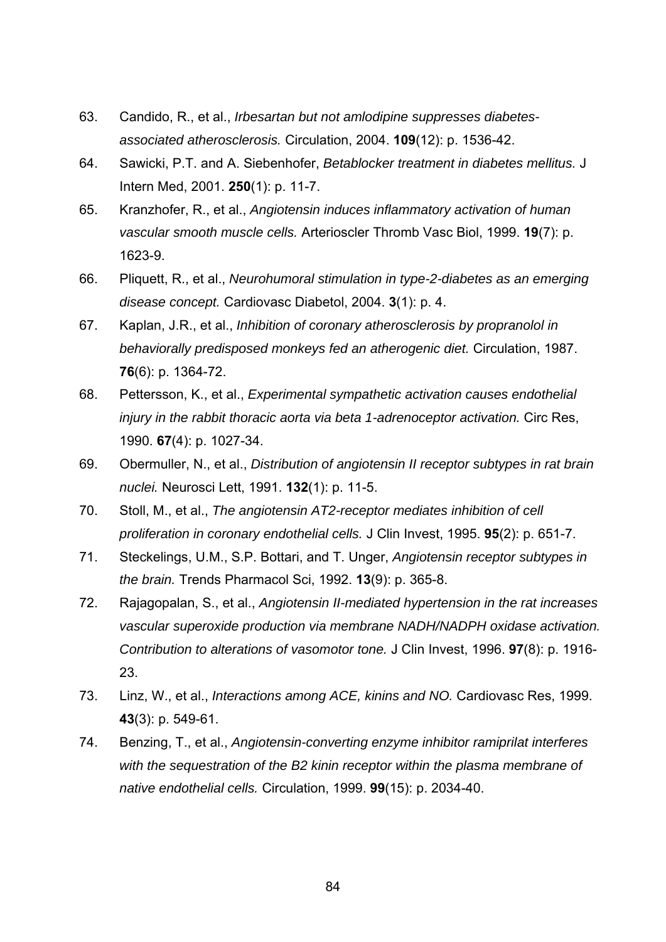- 63. Candido, R., et al., *Irbesartan but not amlodipine suppresses diabetesassociated atherosclerosis.* Circulation, 2004. **109**(12): p. 1536-42.
- 64. Sawicki, P.T. and A. Siebenhofer, *Betablocker treatment in diabetes mellitus.* J Intern Med, 2001. **250**(1): p. 11-7.
- 65. Kranzhofer, R., et al., *Angiotensin induces inflammatory activation of human vascular smooth muscle cells.* Arterioscler Thromb Vasc Biol, 1999. **19**(7): p. 1623-9.
- 66. Pliquett, R., et al., *Neurohumoral stimulation in type-2-diabetes as an emerging disease concept.* Cardiovasc Diabetol, 2004. **3**(1): p. 4.
- 67. Kaplan, J.R., et al., *Inhibition of coronary atherosclerosis by propranolol in behaviorally predisposed monkeys fed an atherogenic diet.* Circulation, 1987. **76**(6): p. 1364-72.
- 68. Pettersson, K., et al., *Experimental sympathetic activation causes endothelial injury in the rabbit thoracic aorta via beta 1-adrenoceptor activation.* Circ Res, 1990. **67**(4): p. 1027-34.
- 69. Obermuller, N., et al., *Distribution of angiotensin II receptor subtypes in rat brain nuclei.* Neurosci Lett, 1991. **132**(1): p. 11-5.
- 70. Stoll, M., et al., *The angiotensin AT2-receptor mediates inhibition of cell proliferation in coronary endothelial cells.* J Clin Invest, 1995. **95**(2): p. 651-7.
- 71. Steckelings, U.M., S.P. Bottari, and T. Unger, *Angiotensin receptor subtypes in the brain.* Trends Pharmacol Sci, 1992. **13**(9): p. 365-8.
- 72. Rajagopalan, S., et al., *Angiotensin II-mediated hypertension in the rat increases vascular superoxide production via membrane NADH/NADPH oxidase activation. Contribution to alterations of vasomotor tone.* J Clin Invest, 1996. **97**(8): p. 1916- 23.
- 73. Linz, W., et al., *Interactions among ACE, kinins and NO.* Cardiovasc Res, 1999. **43**(3): p. 549-61.
- 74. Benzing, T., et al., *Angiotensin-converting enzyme inhibitor ramiprilat interferes with the sequestration of the B2 kinin receptor within the plasma membrane of native endothelial cells.* Circulation, 1999. **99**(15): p. 2034-40.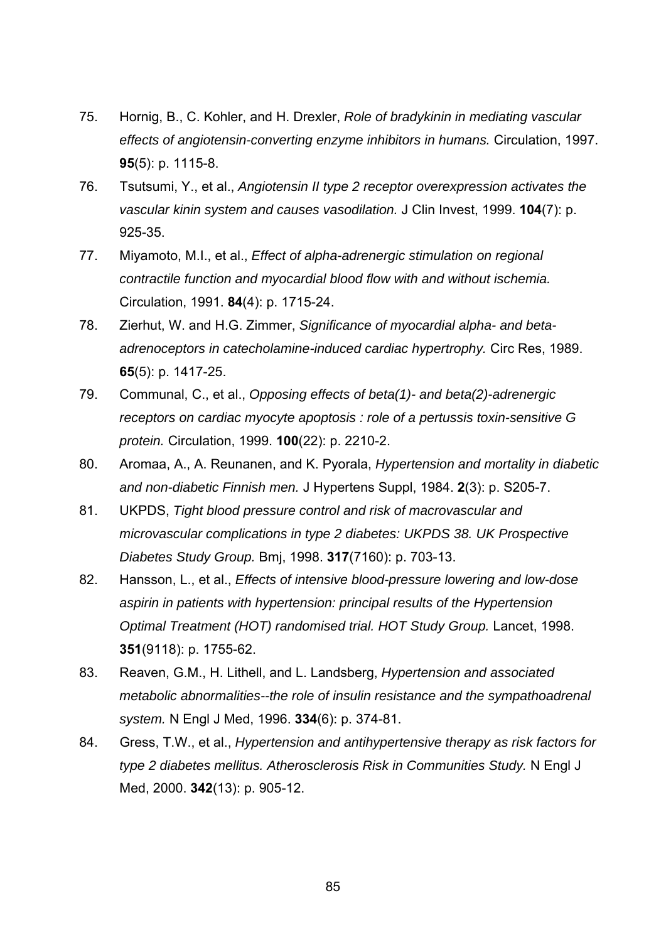- 75. Hornig, B., C. Kohler, and H. Drexler, *Role of bradykinin in mediating vascular effects of angiotensin-converting enzyme inhibitors in humans.* Circulation, 1997. **95**(5): p. 1115-8.
- 76. Tsutsumi, Y., et al., *Angiotensin II type 2 receptor overexpression activates the vascular kinin system and causes vasodilation.* J Clin Invest, 1999. **104**(7): p. 925-35.
- 77. Miyamoto, M.I., et al., *Effect of alpha-adrenergic stimulation on regional contractile function and myocardial blood flow with and without ischemia.* Circulation, 1991. **84**(4): p. 1715-24.
- 78. Zierhut, W. and H.G. Zimmer, *Significance of myocardial alpha- and betaadrenoceptors in catecholamine-induced cardiac hypertrophy.* Circ Res, 1989. **65**(5): p. 1417-25.
- 79. Communal, C., et al., *Opposing effects of beta(1)- and beta(2)-adrenergic receptors on cardiac myocyte apoptosis : role of a pertussis toxin-sensitive G protein.* Circulation, 1999. **100**(22): p. 2210-2.
- 80. Aromaa, A., A. Reunanen, and K. Pyorala, *Hypertension and mortality in diabetic and non-diabetic Finnish men.* J Hypertens Suppl, 1984. **2**(3): p. S205-7.
- 81. UKPDS, *Tight blood pressure control and risk of macrovascular and microvascular complications in type 2 diabetes: UKPDS 38. UK Prospective Diabetes Study Group.* Bmj, 1998. **317**(7160): p. 703-13.
- 82. Hansson, L., et al., *Effects of intensive blood-pressure lowering and low-dose aspirin in patients with hypertension: principal results of the Hypertension Optimal Treatment (HOT) randomised trial. HOT Study Group.* Lancet, 1998. **351**(9118): p. 1755-62.
- 83. Reaven, G.M., H. Lithell, and L. Landsberg, *Hypertension and associated metabolic abnormalities--the role of insulin resistance and the sympathoadrenal system.* N Engl J Med, 1996. **334**(6): p. 374-81.
- 84. Gress, T.W., et al., *Hypertension and antihypertensive therapy as risk factors for type 2 diabetes mellitus. Atherosclerosis Risk in Communities Study.* N Engl J Med, 2000. **342**(13): p. 905-12.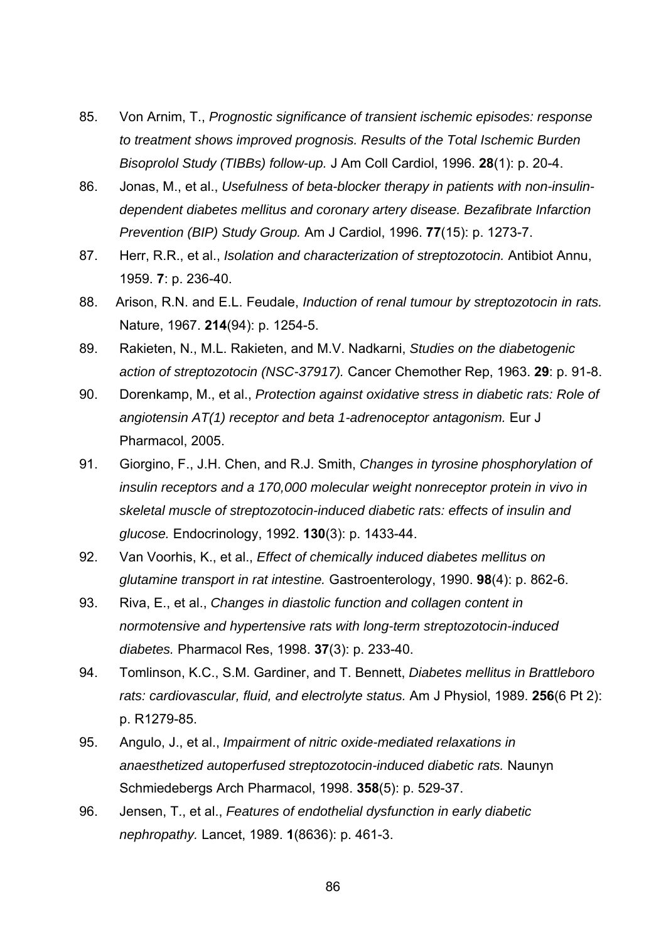- 85. Von Arnim, T., *Prognostic significance of transient ischemic episodes: response to treatment shows improved prognosis. Results of the Total Ischemic Burden Bisoprolol Study (TIBBs) follow-up.* J Am Coll Cardiol, 1996. **28**(1): p. 20-4.
- 86. Jonas, M., et al., *Usefulness of beta-blocker therapy in patients with non-insulindependent diabetes mellitus and coronary artery disease. Bezafibrate Infarction Prevention (BIP) Study Group.* Am J Cardiol, 1996. **77**(15): p. 1273-7.
- 87. Herr, R.R., et al., *Isolation and characterization of streptozotocin.* Antibiot Annu, 1959. **7**: p. 236-40.
- 88. Arison, R.N. and E.L. Feudale, *Induction of renal tumour by streptozotocin in rats.* Nature, 1967. **214**(94): p. 1254-5.
- 89. Rakieten, N., M.L. Rakieten, and M.V. Nadkarni, *Studies on the diabetogenic action of streptozotocin (NSC-37917).* Cancer Chemother Rep, 1963. **29**: p. 91-8.
- 90. Dorenkamp, M., et al., *Protection against oxidative stress in diabetic rats: Role of angiotensin AT(1) receptor and beta 1-adrenoceptor antagonism.* Eur J Pharmacol, 2005.
- 91. Giorgino, F., J.H. Chen, and R.J. Smith, *Changes in tyrosine phosphorylation of insulin receptors and a 170,000 molecular weight nonreceptor protein in vivo in skeletal muscle of streptozotocin-induced diabetic rats: effects of insulin and glucose.* Endocrinology, 1992. **130**(3): p. 1433-44.
- 92. Van Voorhis, K., et al., *Effect of chemically induced diabetes mellitus on glutamine transport in rat intestine.* Gastroenterology, 1990. **98**(4): p. 862-6.
- 93. Riva, E., et al., *Changes in diastolic function and collagen content in normotensive and hypertensive rats with long-term streptozotocin-induced diabetes.* Pharmacol Res, 1998. **37**(3): p. 233-40.
- 94. Tomlinson, K.C., S.M. Gardiner, and T. Bennett, *Diabetes mellitus in Brattleboro rats: cardiovascular, fluid, and electrolyte status.* Am J Physiol, 1989. **256**(6 Pt 2): p. R1279-85.
- 95. Angulo, J., et al., *Impairment of nitric oxide-mediated relaxations in anaesthetized autoperfused streptozotocin-induced diabetic rats.* Naunyn Schmiedebergs Arch Pharmacol, 1998. **358**(5): p. 529-37.
- 96. Jensen, T., et al., *Features of endothelial dysfunction in early diabetic nephropathy.* Lancet, 1989. **1**(8636): p. 461-3.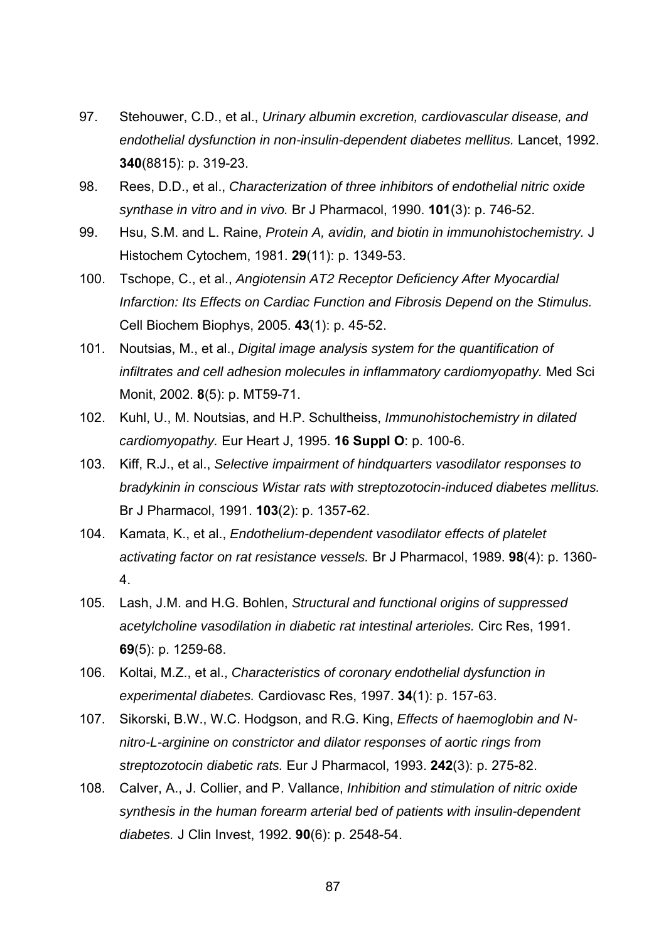- 97. Stehouwer, C.D., et al., *Urinary albumin excretion, cardiovascular disease, and endothelial dysfunction in non-insulin-dependent diabetes mellitus.* Lancet, 1992. **340**(8815): p. 319-23.
- 98. Rees, D.D., et al., *Characterization of three inhibitors of endothelial nitric oxide synthase in vitro and in vivo.* Br J Pharmacol, 1990. **101**(3): p. 746-52.
- 99. Hsu, S.M. and L. Raine, *Protein A, avidin, and biotin in immunohistochemistry.* J Histochem Cytochem, 1981. **29**(11): p. 1349-53.
- 100. Tschope, C., et al., *Angiotensin AT2 Receptor Deficiency After Myocardial Infarction: Its Effects on Cardiac Function and Fibrosis Depend on the Stimulus.* Cell Biochem Biophys, 2005. **43**(1): p. 45-52.
- 101. Noutsias, M., et al., *Digital image analysis system for the quantification of infiltrates and cell adhesion molecules in inflammatory cardiomyopathy.* Med Sci Monit, 2002. **8**(5): p. MT59-71.
- 102. Kuhl, U., M. Noutsias, and H.P. Schultheiss, *Immunohistochemistry in dilated cardiomyopathy.* Eur Heart J, 1995. **16 Suppl O**: p. 100-6.
- 103. Kiff, R.J., et al., *Selective impairment of hindquarters vasodilator responses to bradykinin in conscious Wistar rats with streptozotocin-induced diabetes mellitus.* Br J Pharmacol, 1991. **103**(2): p. 1357-62.
- 104. Kamata, K., et al., *Endothelium-dependent vasodilator effects of platelet activating factor on rat resistance vessels.* Br J Pharmacol, 1989. **98**(4): p. 1360- 4.
- 105. Lash, J.M. and H.G. Bohlen, *Structural and functional origins of suppressed acetylcholine vasodilation in diabetic rat intestinal arterioles.* Circ Res, 1991. **69**(5): p. 1259-68.
- 106. Koltai, M.Z., et al., *Characteristics of coronary endothelial dysfunction in experimental diabetes.* Cardiovasc Res, 1997. **34**(1): p. 157-63.
- 107. Sikorski, B.W., W.C. Hodgson, and R.G. King, *Effects of haemoglobin and Nnitro-L-arginine on constrictor and dilator responses of aortic rings from streptozotocin diabetic rats.* Eur J Pharmacol, 1993. **242**(3): p. 275-82.
- 108. Calver, A., J. Collier, and P. Vallance, *Inhibition and stimulation of nitric oxide synthesis in the human forearm arterial bed of patients with insulin-dependent diabetes.* J Clin Invest, 1992. **90**(6): p. 2548-54.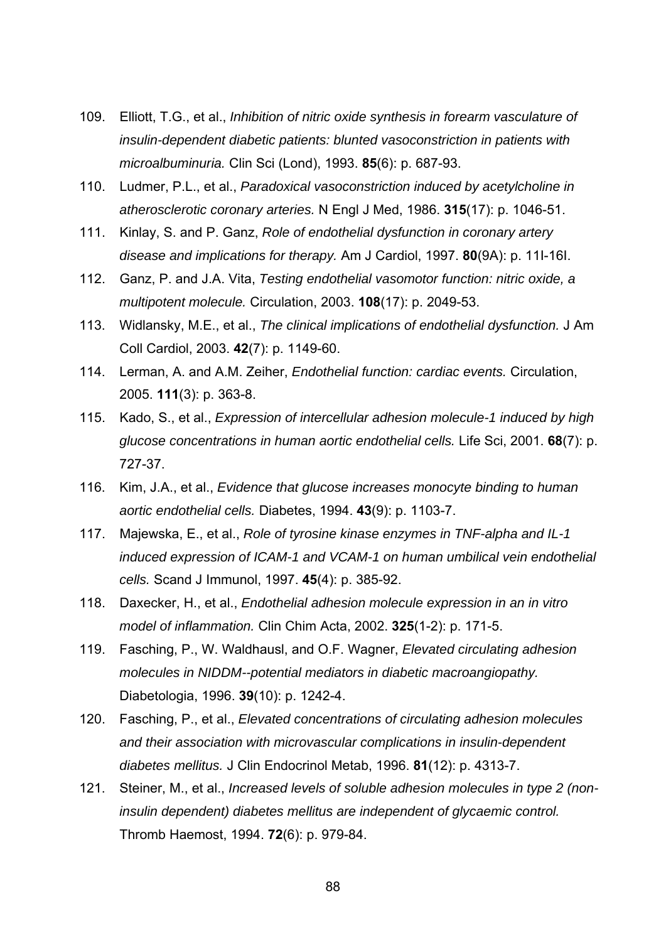- 109. Elliott, T.G., et al., *Inhibition of nitric oxide synthesis in forearm vasculature of insulin-dependent diabetic patients: blunted vasoconstriction in patients with microalbuminuria.* Clin Sci (Lond), 1993. **85**(6): p. 687-93.
- 110. Ludmer, P.L., et al., *Paradoxical vasoconstriction induced by acetylcholine in atherosclerotic coronary arteries.* N Engl J Med, 1986. **315**(17): p. 1046-51.
- 111. Kinlay, S. and P. Ganz, *Role of endothelial dysfunction in coronary artery disease and implications for therapy.* Am J Cardiol, 1997. **80**(9A): p. 11I-16I.
- 112. Ganz, P. and J.A. Vita, *Testing endothelial vasomotor function: nitric oxide, a multipotent molecule.* Circulation, 2003. **108**(17): p. 2049-53.
- 113. Widlansky, M.E., et al., *The clinical implications of endothelial dysfunction.* J Am Coll Cardiol, 2003. **42**(7): p. 1149-60.
- 114. Lerman, A. and A.M. Zeiher, *Endothelial function: cardiac events.* Circulation, 2005. **111**(3): p. 363-8.
- 115. Kado, S., et al., *Expression of intercellular adhesion molecule-1 induced by high glucose concentrations in human aortic endothelial cells.* Life Sci, 2001. **68**(7): p. 727-37.
- 116. Kim, J.A., et al., *Evidence that glucose increases monocyte binding to human aortic endothelial cells.* Diabetes, 1994. **43**(9): p. 1103-7.
- 117. Majewska, E., et al., *Role of tyrosine kinase enzymes in TNF-alpha and IL-1 induced expression of ICAM-1 and VCAM-1 on human umbilical vein endothelial cells.* Scand J Immunol, 1997. **45**(4): p. 385-92.
- 118. Daxecker, H., et al., *Endothelial adhesion molecule expression in an in vitro model of inflammation.* Clin Chim Acta, 2002. **325**(1-2): p. 171-5.
- 119. Fasching, P., W. Waldhausl, and O.F. Wagner, *Elevated circulating adhesion molecules in NIDDM--potential mediators in diabetic macroangiopathy.* Diabetologia, 1996. **39**(10): p. 1242-4.
- 120. Fasching, P., et al., *Elevated concentrations of circulating adhesion molecules and their association with microvascular complications in insulin-dependent diabetes mellitus.* J Clin Endocrinol Metab, 1996. **81**(12): p. 4313-7.
- 121. Steiner, M., et al., *Increased levels of soluble adhesion molecules in type 2 (noninsulin dependent) diabetes mellitus are independent of glycaemic control.* Thromb Haemost, 1994. **72**(6): p. 979-84.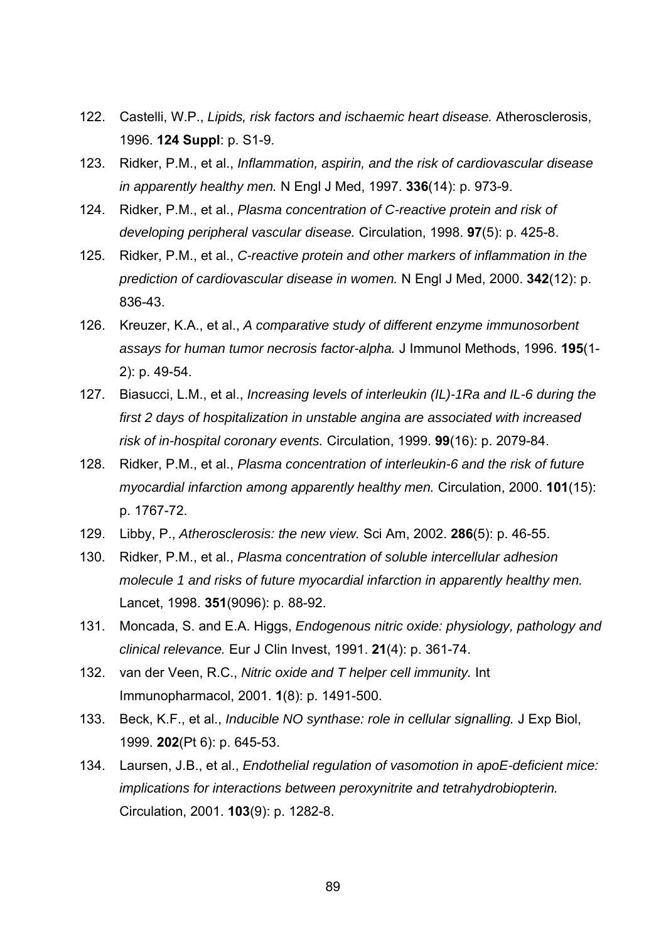- 122. Castelli, W.P., *Lipids, risk factors and ischaemic heart disease.* Atherosclerosis, 1996. **124 Suppl**: p. S1-9.
- 123. Ridker, P.M., et al., *Inflammation, aspirin, and the risk of cardiovascular disease in apparently healthy men.* N Engl J Med, 1997. **336**(14): p. 973-9.
- 124. Ridker, P.M., et al., *Plasma concentration of C-reactive protein and risk of developing peripheral vascular disease.* Circulation, 1998. **97**(5): p. 425-8.
- 125. Ridker, P.M., et al., *C-reactive protein and other markers of inflammation in the prediction of cardiovascular disease in women.* N Engl J Med, 2000. **342**(12): p. 836-43.
- 126. Kreuzer, K.A., et al., *A comparative study of different enzyme immunosorbent assays for human tumor necrosis factor-alpha.* J Immunol Methods, 1996. **195**(1- 2): p. 49-54.
- 127. Biasucci, L.M., et al., *Increasing levels of interleukin (IL)-1Ra and IL-6 during the first 2 days of hospitalization in unstable angina are associated with increased risk of in-hospital coronary events.* Circulation, 1999. **99**(16): p. 2079-84.
- 128. Ridker, P.M., et al., *Plasma concentration of interleukin-6 and the risk of future myocardial infarction among apparently healthy men.* Circulation, 2000. **101**(15): p. 1767-72.
- 129. Libby, P., *Atherosclerosis: the new view.* Sci Am, 2002. **286**(5): p. 46-55.
- 130. Ridker, P.M., et al., *Plasma concentration of soluble intercellular adhesion molecule 1 and risks of future myocardial infarction in apparently healthy men.* Lancet, 1998. **351**(9096): p. 88-92.
- 131. Moncada, S. and E.A. Higgs, *Endogenous nitric oxide: physiology, pathology and clinical relevance.* Eur J Clin Invest, 1991. **21**(4): p. 361-74.
- 132. van der Veen, R.C., *Nitric oxide and T helper cell immunity.* Int Immunopharmacol, 2001. **1**(8): p. 1491-500.
- 133. Beck, K.F., et al., *Inducible NO synthase: role in cellular signalling.* J Exp Biol, 1999. **202**(Pt 6): p. 645-53.
- 134. Laursen, J.B., et al., *Endothelial regulation of vasomotion in apoE-deficient mice: implications for interactions between peroxynitrite and tetrahydrobiopterin.* Circulation, 2001. **103**(9): p. 1282-8.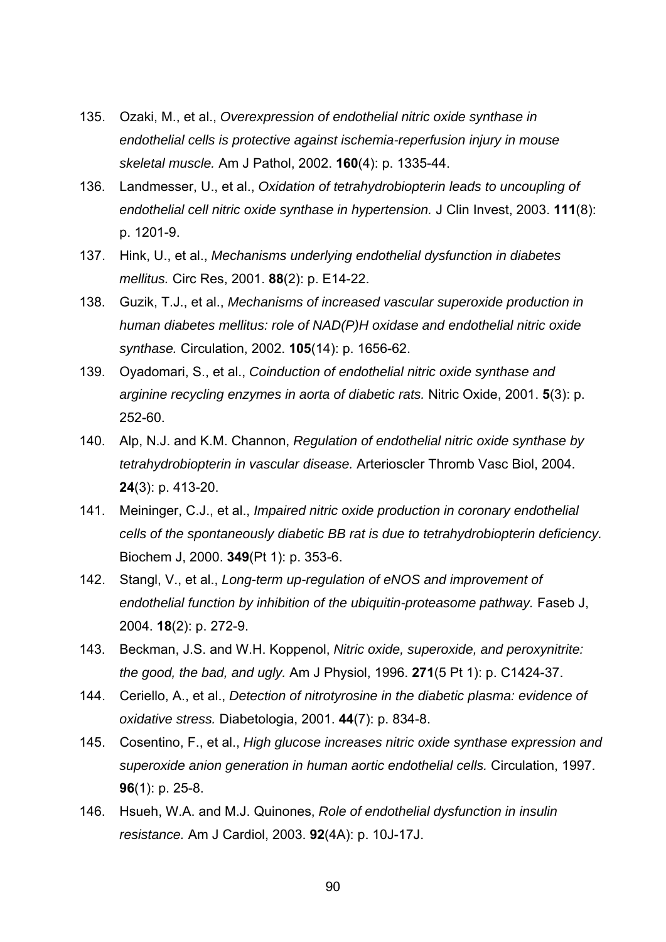- 135. Ozaki, M., et al., *Overexpression of endothelial nitric oxide synthase in endothelial cells is protective against ischemia-reperfusion injury in mouse skeletal muscle.* Am J Pathol, 2002. **160**(4): p. 1335-44.
- 136. Landmesser, U., et al., *Oxidation of tetrahydrobiopterin leads to uncoupling of endothelial cell nitric oxide synthase in hypertension.* J Clin Invest, 2003. **111**(8): p. 1201-9.
- 137. Hink, U., et al., *Mechanisms underlying endothelial dysfunction in diabetes mellitus.* Circ Res, 2001. **88**(2): p. E14-22.
- 138. Guzik, T.J., et al., *Mechanisms of increased vascular superoxide production in human diabetes mellitus: role of NAD(P)H oxidase and endothelial nitric oxide synthase.* Circulation, 2002. **105**(14): p. 1656-62.
- 139. Oyadomari, S., et al., *Coinduction of endothelial nitric oxide synthase and arginine recycling enzymes in aorta of diabetic rats.* Nitric Oxide, 2001. **5**(3): p. 252-60.
- 140. Alp, N.J. and K.M. Channon, *Regulation of endothelial nitric oxide synthase by tetrahydrobiopterin in vascular disease.* Arterioscler Thromb Vasc Biol, 2004. **24**(3): p. 413-20.
- 141. Meininger, C.J., et al., *Impaired nitric oxide production in coronary endothelial cells of the spontaneously diabetic BB rat is due to tetrahydrobiopterin deficiency.* Biochem J, 2000. **349**(Pt 1): p. 353-6.
- 142. Stangl, V., et al., *Long-term up-regulation of eNOS and improvement of endothelial function by inhibition of the ubiquitin-proteasome pathway.* Faseb J, 2004. **18**(2): p. 272-9.
- 143. Beckman, J.S. and W.H. Koppenol, *Nitric oxide, superoxide, and peroxynitrite: the good, the bad, and ugly.* Am J Physiol, 1996. **271**(5 Pt 1): p. C1424-37.
- 144. Ceriello, A., et al., *Detection of nitrotyrosine in the diabetic plasma: evidence of oxidative stress.* Diabetologia, 2001. **44**(7): p. 834-8.
- 145. Cosentino, F., et al., *High glucose increases nitric oxide synthase expression and superoxide anion generation in human aortic endothelial cells.* Circulation, 1997. **96**(1): p. 25-8.
- 146. Hsueh, W.A. and M.J. Quinones, *Role of endothelial dysfunction in insulin resistance.* Am J Cardiol, 2003. **92**(4A): p. 10J-17J.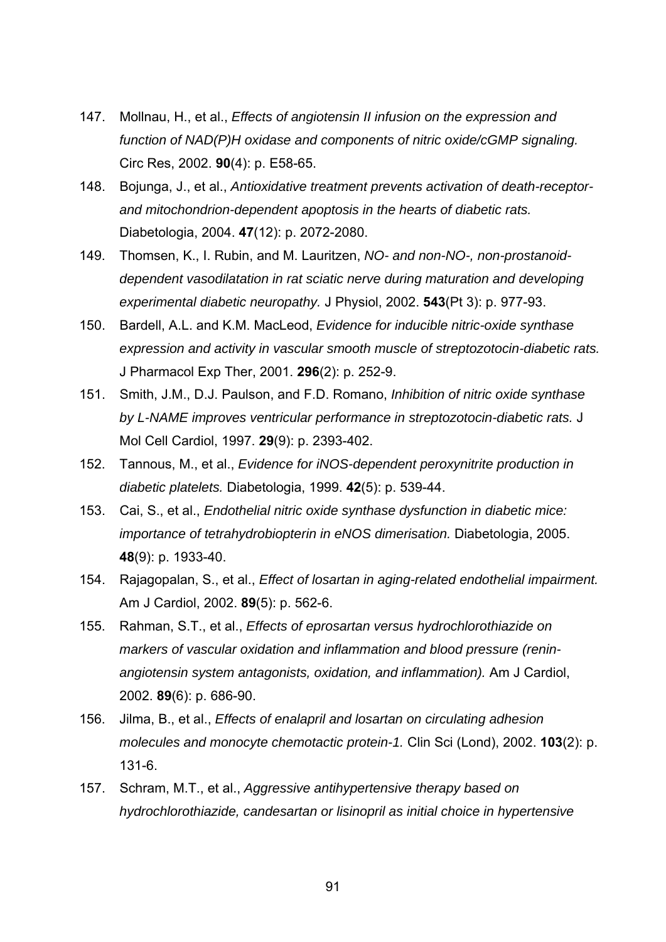- 147. Mollnau, H., et al., *Effects of angiotensin II infusion on the expression and function of NAD(P)H oxidase and components of nitric oxide/cGMP signaling.* Circ Res, 2002. **90**(4): p. E58-65.
- 148. Bojunga, J., et al., *Antioxidative treatment prevents activation of death-receptorand mitochondrion-dependent apoptosis in the hearts of diabetic rats.* Diabetologia, 2004. **47**(12): p. 2072-2080.
- 149. Thomsen, K., I. Rubin, and M. Lauritzen, *NO- and non-NO-, non-prostanoiddependent vasodilatation in rat sciatic nerve during maturation and developing experimental diabetic neuropathy.* J Physiol, 2002. **543**(Pt 3): p. 977-93.
- 150. Bardell, A.L. and K.M. MacLeod, *Evidence for inducible nitric-oxide synthase expression and activity in vascular smooth muscle of streptozotocin-diabetic rats.* J Pharmacol Exp Ther, 2001. **296**(2): p. 252-9.
- 151. Smith, J.M., D.J. Paulson, and F.D. Romano, *Inhibition of nitric oxide synthase by L-NAME improves ventricular performance in streptozotocin-diabetic rats.* J Mol Cell Cardiol, 1997. **29**(9): p. 2393-402.
- 152. Tannous, M., et al., *Evidence for iNOS-dependent peroxynitrite production in diabetic platelets.* Diabetologia, 1999. **42**(5): p. 539-44.
- 153. Cai, S., et al., *Endothelial nitric oxide synthase dysfunction in diabetic mice: importance of tetrahydrobiopterin in eNOS dimerisation.* Diabetologia, 2005. **48**(9): p. 1933-40.
- 154. Rajagopalan, S., et al., *Effect of losartan in aging-related endothelial impairment.* Am J Cardiol, 2002. **89**(5): p. 562-6.
- 155. Rahman, S.T., et al., *Effects of eprosartan versus hydrochlorothiazide on markers of vascular oxidation and inflammation and blood pressure (reninangiotensin system antagonists, oxidation, and inflammation).* Am J Cardiol, 2002. **89**(6): p. 686-90.
- 156. Jilma, B., et al., *Effects of enalapril and losartan on circulating adhesion molecules and monocyte chemotactic protein-1.* Clin Sci (Lond), 2002. **103**(2): p. 131-6.
- 157. Schram, M.T., et al., *Aggressive antihypertensive therapy based on hydrochlorothiazide, candesartan or lisinopril as initial choice in hypertensive*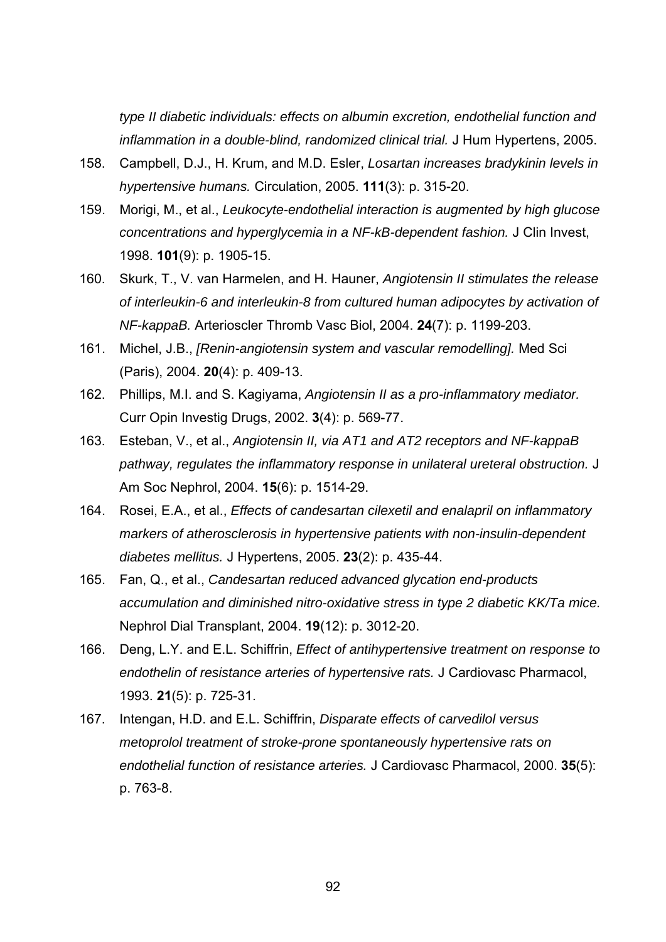*type II diabetic individuals: effects on albumin excretion, endothelial function and inflammation in a double-blind, randomized clinical trial.* J Hum Hypertens, 2005.

- 158. Campbell, D.J., H. Krum, and M.D. Esler, *Losartan increases bradykinin levels in hypertensive humans.* Circulation, 2005. **111**(3): p. 315-20.
- 159. Morigi, M., et al., *Leukocyte-endothelial interaction is augmented by high glucose concentrations and hyperglycemia in a NF-kB-dependent fashion.* J Clin Invest, 1998. **101**(9): p. 1905-15.
- 160. Skurk, T., V. van Harmelen, and H. Hauner, *Angiotensin II stimulates the release of interleukin-6 and interleukin-8 from cultured human adipocytes by activation of NF-kappaB.* Arterioscler Thromb Vasc Biol, 2004. **24**(7): p. 1199-203.
- 161. Michel, J.B., *[Renin-angiotensin system and vascular remodelling].* Med Sci (Paris), 2004. **20**(4): p. 409-13.
- 162. Phillips, M.I. and S. Kagiyama, *Angiotensin II as a pro-inflammatory mediator.* Curr Opin Investig Drugs, 2002. **3**(4): p. 569-77.
- 163. Esteban, V., et al., *Angiotensin II, via AT1 and AT2 receptors and NF-kappaB pathway, regulates the inflammatory response in unilateral ureteral obstruction.* J Am Soc Nephrol, 2004. **15**(6): p. 1514-29.
- 164. Rosei, E.A., et al., *Effects of candesartan cilexetil and enalapril on inflammatory markers of atherosclerosis in hypertensive patients with non-insulin-dependent diabetes mellitus.* J Hypertens, 2005. **23**(2): p. 435-44.
- 165. Fan, Q., et al., *Candesartan reduced advanced glycation end-products accumulation and diminished nitro-oxidative stress in type 2 diabetic KK/Ta mice.* Nephrol Dial Transplant, 2004. **19**(12): p. 3012-20.
- 166. Deng, L.Y. and E.L. Schiffrin, *Effect of antihypertensive treatment on response to endothelin of resistance arteries of hypertensive rats.* J Cardiovasc Pharmacol, 1993. **21**(5): p. 725-31.
- 167. Intengan, H.D. and E.L. Schiffrin, *Disparate effects of carvedilol versus metoprolol treatment of stroke-prone spontaneously hypertensive rats on endothelial function of resistance arteries.* J Cardiovasc Pharmacol, 2000. **35**(5): p. 763-8.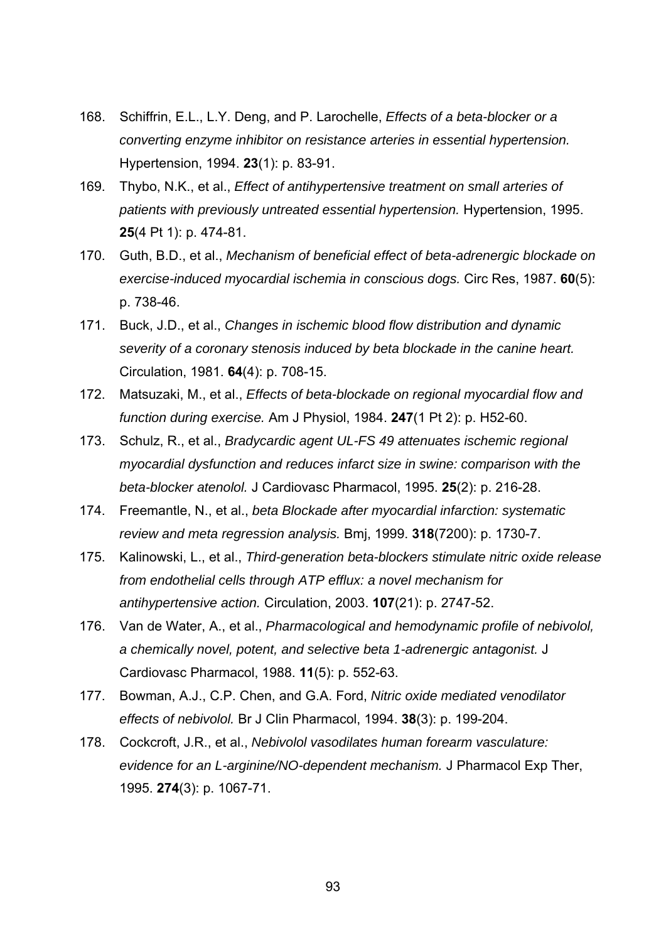- 168. Schiffrin, E.L., L.Y. Deng, and P. Larochelle, *Effects of a beta-blocker or a converting enzyme inhibitor on resistance arteries in essential hypertension.* Hypertension, 1994. **23**(1): p. 83-91.
- 169. Thybo, N.K., et al., *Effect of antihypertensive treatment on small arteries of patients with previously untreated essential hypertension.* Hypertension, 1995. **25**(4 Pt 1): p. 474-81.
- 170. Guth, B.D., et al., *Mechanism of beneficial effect of beta-adrenergic blockade on exercise-induced myocardial ischemia in conscious dogs.* Circ Res, 1987. **60**(5): p. 738-46.
- 171. Buck, J.D., et al., *Changes in ischemic blood flow distribution and dynamic severity of a coronary stenosis induced by beta blockade in the canine heart.* Circulation, 1981. **64**(4): p. 708-15.
- 172. Matsuzaki, M., et al., *Effects of beta-blockade on regional myocardial flow and function during exercise.* Am J Physiol, 1984. **247**(1 Pt 2): p. H52-60.
- 173. Schulz, R., et al., *Bradycardic agent UL-FS 49 attenuates ischemic regional myocardial dysfunction and reduces infarct size in swine: comparison with the beta-blocker atenolol.* J Cardiovasc Pharmacol, 1995. **25**(2): p. 216-28.
- 174. Freemantle, N., et al., *beta Blockade after myocardial infarction: systematic review and meta regression analysis.* Bmj, 1999. **318**(7200): p. 1730-7.
- 175. Kalinowski, L., et al., *Third-generation beta-blockers stimulate nitric oxide release from endothelial cells through ATP efflux: a novel mechanism for antihypertensive action.* Circulation, 2003. **107**(21): p. 2747-52.
- 176. Van de Water, A., et al., *Pharmacological and hemodynamic profile of nebivolol, a chemically novel, potent, and selective beta 1-adrenergic antagonist.* J Cardiovasc Pharmacol, 1988. **11**(5): p. 552-63.
- 177. Bowman, A.J., C.P. Chen, and G.A. Ford, *Nitric oxide mediated venodilator effects of nebivolol.* Br J Clin Pharmacol, 1994. **38**(3): p. 199-204.
- 178. Cockcroft, J.R., et al., *Nebivolol vasodilates human forearm vasculature: evidence for an L-arginine/NO-dependent mechanism.* J Pharmacol Exp Ther, 1995. **274**(3): p. 1067-71.